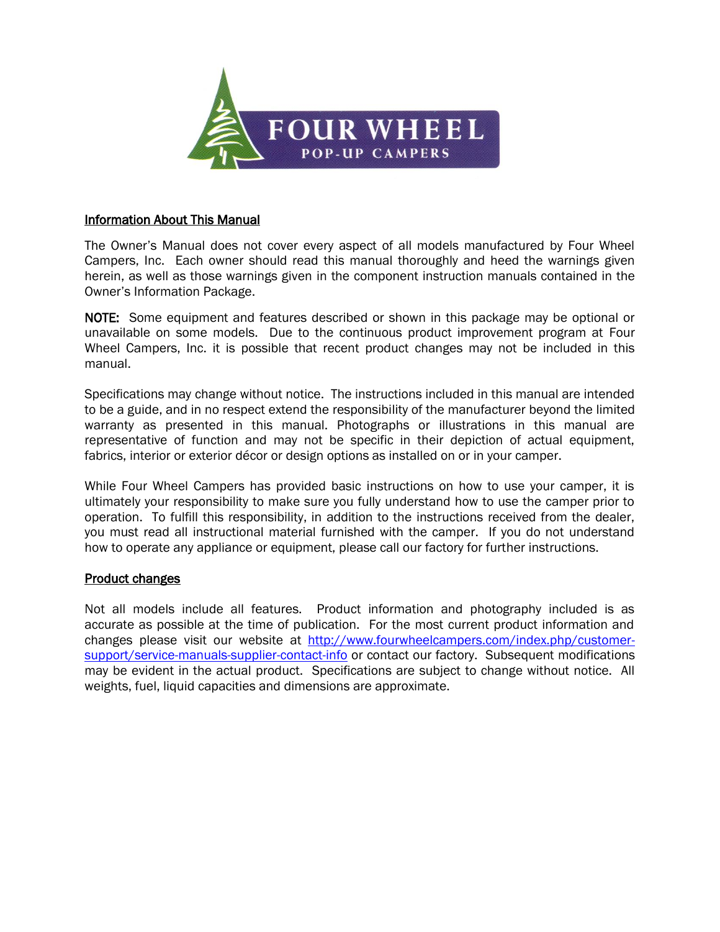

#### Information About This Manual

The Owner's Manual does not cover every aspect of all models manufactured by Four Wheel Campers, Inc. Each owner should read this manual thoroughly and heed the warnings given herein, as well as those warnings given in the component instruction manuals contained in the Owner's Information Package.

NOTE: Some equipment and features described or shown in this package may be optional or unavailable on some models. Due to the continuous product improvement program at Four Wheel Campers, Inc. it is possible that recent product changes may not be included in this manual.

Specifications may change without notice. The instructions included in this manual are intended to be a guide, and in no respect extend the responsibility of the manufacturer beyond the limited warranty as presented in this manual. Photographs or illustrations in this manual are representative of function and may not be specific in their depiction of actual equipment, fabrics, interior or exterior décor or design options as installed on or in your camper.

While Four Wheel Campers has provided basic instructions on how to use your camper, it is ultimately your responsibility to make sure you fully understand how to use the camper prior to operation. To fulfill this responsibility, in addition to the instructions received from the dealer, you must read all instructional material furnished with the camper. If you do not understand how to operate any appliance or equipment, please call our factory for further instructions.

#### Product changes

Not all models include all features. Product information and photography included is as accurate as possible at the time of publication. For the most current product information and changes please visit our website at [http://www.fourwheelcampers.com/index.php/customer](http://www.fourwheelcampers.com/index.php/customer-support/service-manuals-supplier-contact-info)[support/service-manuals-supplier-contact-info](http://www.fourwheelcampers.com/index.php/customer-support/service-manuals-supplier-contact-info) or contact our factory. Subsequent modifications may be evident in the actual product. Specifications are subject to change without notice. All weights, fuel, liquid capacities and dimensions are approximate.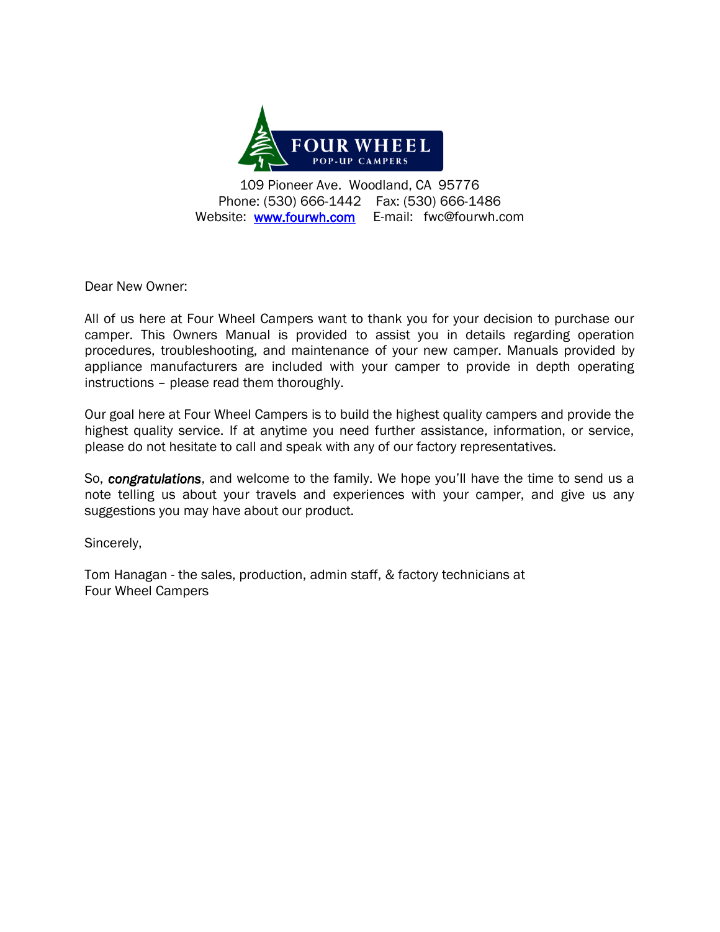

109 Pioneer Ave. Woodland, CA 95776 Phone: (530) 666-1442 Fax: (530) 666-1486 Website: [www.fourwh.com](http://www.fourwh.com/) E-mail: fwc@fourwh.com

Dear New Owner:

All of us here at Four Wheel Campers want to thank you for your decision to purchase our camper. This Owners Manual is provided to assist you in details regarding operation procedures, troubleshooting, and maintenance of your new camper. Manuals provided by appliance manufacturers are included with your camper to provide in depth operating instructions – please read them thoroughly.

Our goal here at Four Wheel Campers is to build the highest quality campers and provide the highest quality service. If at anytime you need further assistance, information, or service, please do not hesitate to call and speak with any of our factory representatives.

So, *congratulations*, and welcome to the family. We hope you'll have the time to send us a note telling us about your travels and experiences with your camper, and give us any suggestions you may have about our product.

Sincerely,

Tom Hanagan - the sales, production, admin staff, & factory technicians at Four Wheel Campers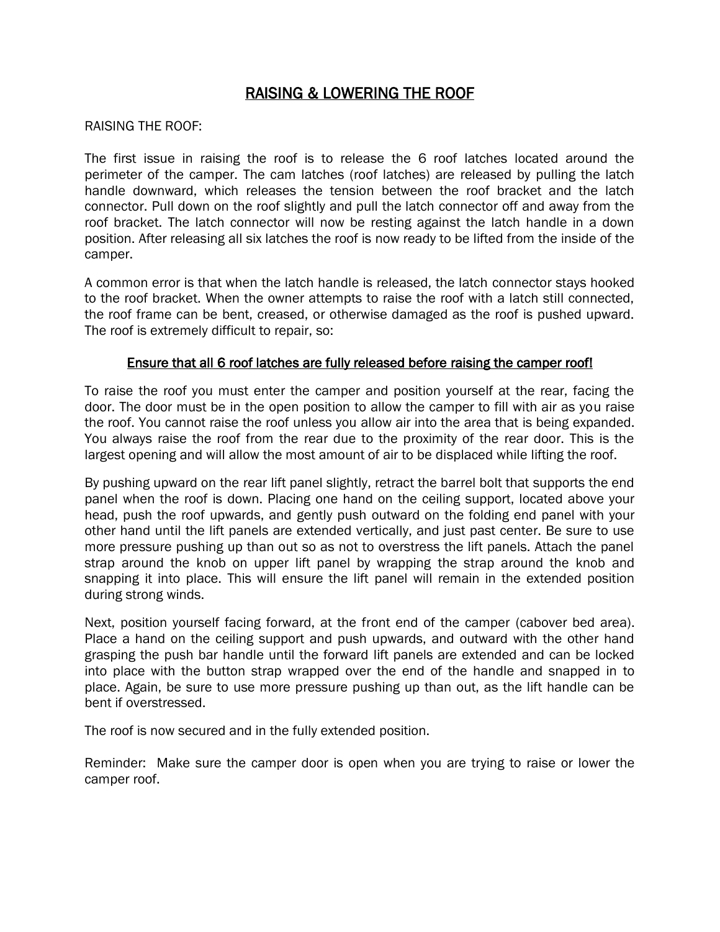# RAISING & LOWERING THE ROOF

#### RAISING THE ROOF:

The first issue in raising the roof is to release the 6 roof latches located around the perimeter of the camper. The cam latches (roof latches) are released by pulling the latch handle downward, which releases the tension between the roof bracket and the latch connector. Pull down on the roof slightly and pull the latch connector off and away from the roof bracket. The latch connector will now be resting against the latch handle in a down position. After releasing all six latches the roof is now ready to be lifted from the inside of the camper.

A common error is that when the latch handle is released, the latch connector stays hooked to the roof bracket. When the owner attempts to raise the roof with a latch still connected, the roof frame can be bent, creased, or otherwise damaged as the roof is pushed upward. The roof is extremely difficult to repair, so:

#### Ensure that all 6 roof latches are fully released before raising the camper roof!

To raise the roof you must enter the camper and position yourself at the rear, facing the door. The door must be in the open position to allow the camper to fill with air as you raise the roof. You cannot raise the roof unless you allow air into the area that is being expanded. You always raise the roof from the rear due to the proximity of the rear door. This is the largest opening and will allow the most amount of air to be displaced while lifting the roof.

By pushing upward on the rear lift panel slightly, retract the barrel bolt that supports the end panel when the roof is down. Placing one hand on the ceiling support, located above your head, push the roof upwards, and gently push outward on the folding end panel with your other hand until the lift panels are extended vertically, and just past center. Be sure to use more pressure pushing up than out so as not to overstress the lift panels. Attach the panel strap around the knob on upper lift panel by wrapping the strap around the knob and snapping it into place. This will ensure the lift panel will remain in the extended position during strong winds.

Next, position yourself facing forward, at the front end of the camper (cabover bed area). Place a hand on the ceiling support and push upwards, and outward with the other hand grasping the push bar handle until the forward lift panels are extended and can be locked into place with the button strap wrapped over the end of the handle and snapped in to place. Again, be sure to use more pressure pushing up than out, as the lift handle can be bent if overstressed.

The roof is now secured and in the fully extended position.

Reminder: Make sure the camper door is open when you are trying to raise or lower the camper roof.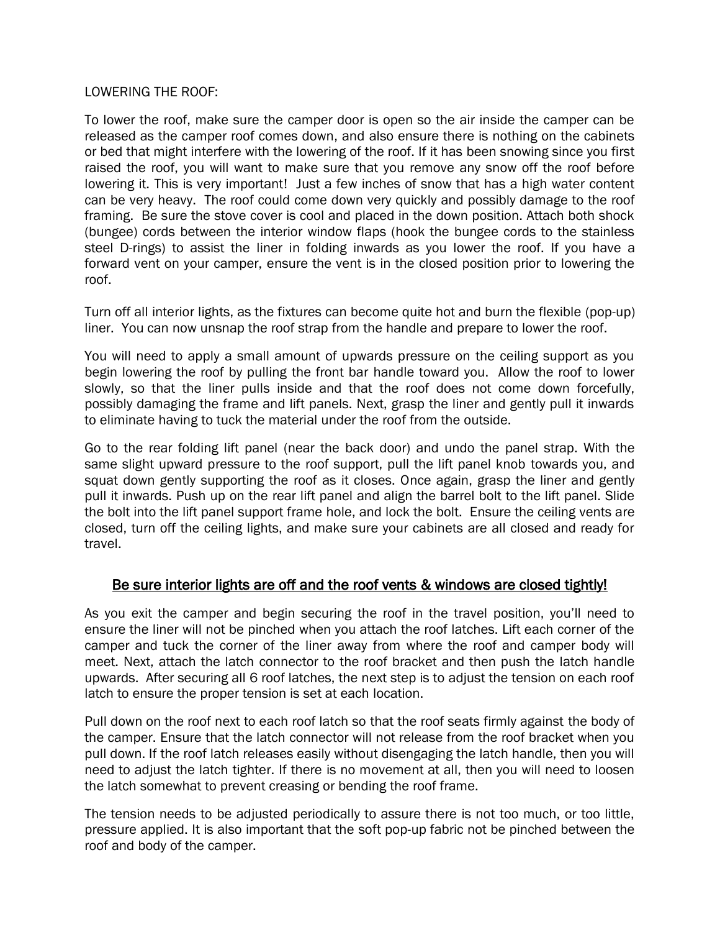#### LOWERING THE ROOF:

To lower the roof, make sure the camper door is open so the air inside the camper can be released as the camper roof comes down, and also ensure there is nothing on the cabinets or bed that might interfere with the lowering of the roof. If it has been snowing since you first raised the roof, you will want to make sure that you remove any snow off the roof before lowering it. This is very important! Just a few inches of snow that has a high water content can be very heavy. The roof could come down very quickly and possibly damage to the roof framing. Be sure the stove cover is cool and placed in the down position. Attach both shock (bungee) cords between the interior window flaps (hook the bungee cords to the stainless steel D-rings) to assist the liner in folding inwards as you lower the roof. If you have a forward vent on your camper, ensure the vent is in the closed position prior to lowering the roof.

Turn off all interior lights, as the fixtures can become quite hot and burn the flexible (pop-up) liner. You can now unsnap the roof strap from the handle and prepare to lower the roof.

You will need to apply a small amount of upwards pressure on the ceiling support as you begin lowering the roof by pulling the front bar handle toward you. Allow the roof to lower slowly, so that the liner pulls inside and that the roof does not come down forcefully, possibly damaging the frame and lift panels. Next, grasp the liner and gently pull it inwards to eliminate having to tuck the material under the roof from the outside.

Go to the rear folding lift panel (near the back door) and undo the panel strap. With the same slight upward pressure to the roof support, pull the lift panel knob towards you, and squat down gently supporting the roof as it closes. Once again, grasp the liner and gently pull it inwards. Push up on the rear lift panel and align the barrel bolt to the lift panel. Slide the bolt into the lift panel support frame hole, and lock the bolt. Ensure the ceiling vents are closed, turn off the ceiling lights, and make sure your cabinets are all closed and ready for travel.

## Be sure interior lights are off and the roof vents & windows are closed tightly!

As you exit the camper and begin securing the roof in the travel position, you'll need to ensure the liner will not be pinched when you attach the roof latches. Lift each corner of the camper and tuck the corner of the liner away from where the roof and camper body will meet. Next, attach the latch connector to the roof bracket and then push the latch handle upwards. After securing all 6 roof latches, the next step is to adjust the tension on each roof latch to ensure the proper tension is set at each location.

Pull down on the roof next to each roof latch so that the roof seats firmly against the body of the camper. Ensure that the latch connector will not release from the roof bracket when you pull down. If the roof latch releases easily without disengaging the latch handle, then you will need to adjust the latch tighter. If there is no movement at all, then you will need to loosen the latch somewhat to prevent creasing or bending the roof frame.

The tension needs to be adjusted periodically to assure there is not too much, or too little, pressure applied. It is also important that the soft pop-up fabric not be pinched between the roof and body of the camper.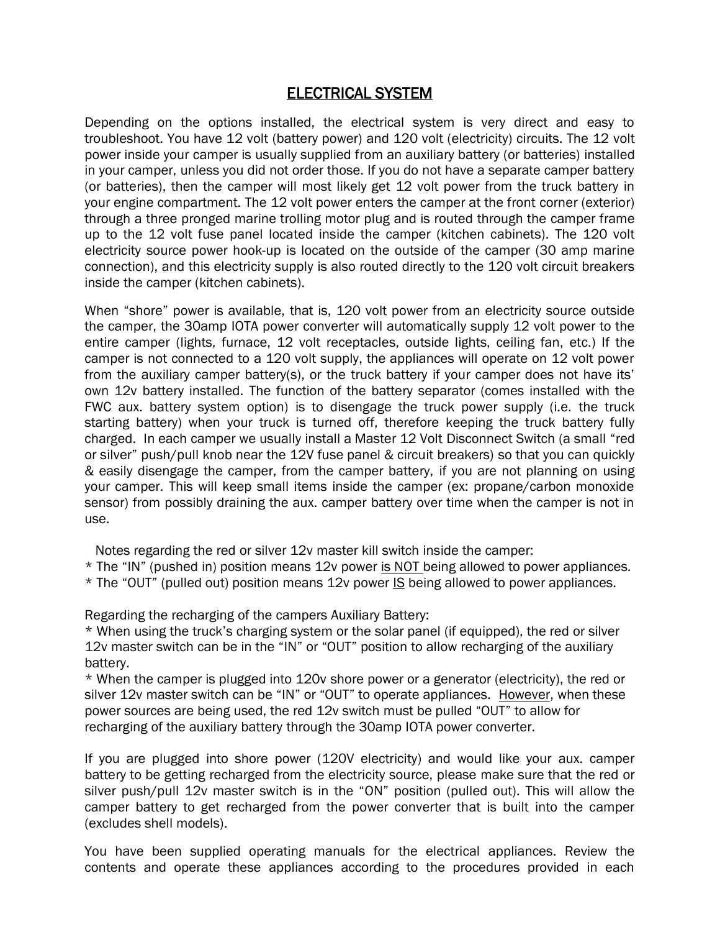# ELECTRICAL SYSTEM

Depending on the options installed, the electrical system is very direct and easy to troubleshoot. You have 12 volt (battery power) and 120 volt (electricity) circuits. The 12 volt power inside your camper is usually supplied from an auxiliary battery (or batteries) installed in your camper, unless you did not order those. If you do not have a separate camper battery (or batteries), then the camper will most likely get 12 volt power from the truck battery in your engine compartment. The 12 volt power enters the camper at the front corner (exterior) through a three pronged marine trolling motor plug and is routed through the camper frame up to the 12 volt fuse panel located inside the camper (kitchen cabinets). The 120 volt electricity source power hook-up is located on the outside of the camper (30 amp marine connection), and this electricity supply is also routed directly to the 120 volt circuit breakers inside the camper (kitchen cabinets).

When "shore" power is available, that is, 120 volt power from an electricity source outside the camper, the 30amp IOTA power converter will automatically supply 12 volt power to the entire camper (lights, furnace, 12 volt receptacles, outside lights, ceiling fan, etc.) If the camper is not connected to a 120 volt supply, the appliances will operate on 12 volt power from the auxiliary camper battery(s), or the truck battery if your camper does not have its' own 12v battery installed. The function of the battery separator (comes installed with the FWC aux. battery system option) is to disengage the truck power supply (i.e. the truck starting battery) when your truck is turned off, therefore keeping the truck battery fully charged. In each camper we usually install a Master 12 Volt Disconnect Switch (a small "red or silver" push/pull knob near the 12V fuse panel & circuit breakers) so that you can quickly & easily disengage the camper, from the camper battery, if you are not planning on using your camper. This will keep small items inside the camper (ex: propane/carbon monoxide sensor) from possibly draining the aux. camper battery over time when the camper is not in use.

Notes regarding the red or silver 12v master kill switch inside the camper:

- \* The "IN" (pushed in) position means 12v power is NOT being allowed to power appliances.
- \* The "OUT" (pulled out) position means 12v power IS being allowed to power appliances.

Regarding the recharging of the campers Auxiliary Battery:

\* When using the truck's charging system or the solar panel (if equipped), the red or silver 12v master switch can be in the "IN" or "OUT" position to allow recharging of the auxiliary battery.

\* When the camper is plugged into 120v shore power or a generator (electricity), the red or silver 12v master switch can be "IN" or "OUT" to operate appliances. However, when these power sources are being used, the red 12v switch must be pulled "OUT" to allow for recharging of the auxiliary battery through the 30amp IOTA power converter.

If you are plugged into shore power (120V electricity) and would like your aux. camper battery to be getting recharged from the electricity source, please make sure that the red or silver push/pull 12v master switch is in the "ON" position (pulled out). This will allow the camper battery to get recharged from the power converter that is built into the camper (excludes shell models).

You have been supplied operating manuals for the electrical appliances. Review the contents and operate these appliances according to the procedures provided in each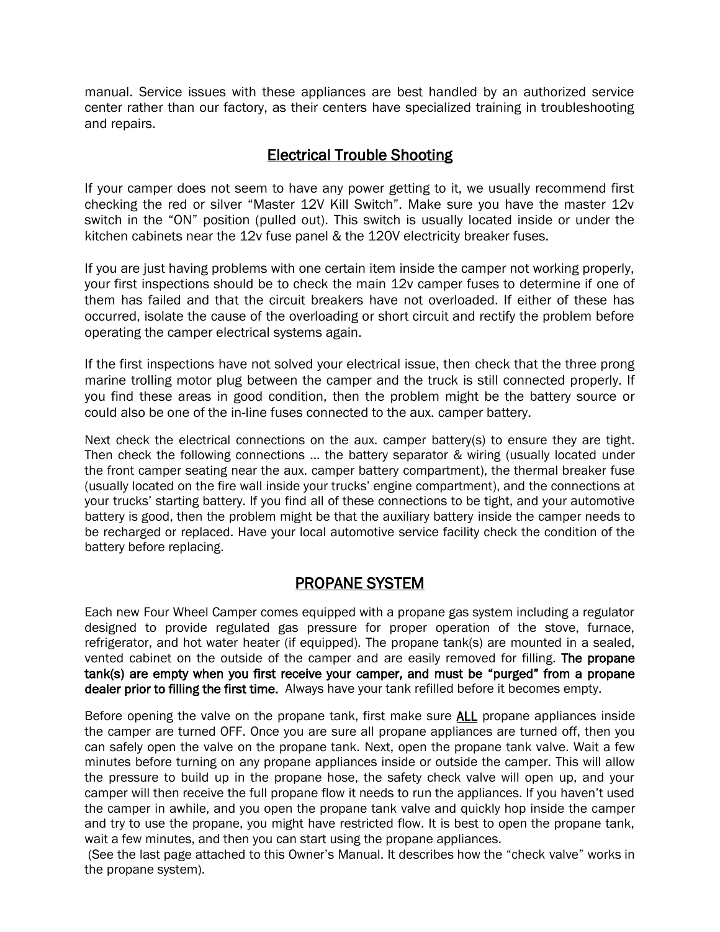manual. Service issues with these appliances are best handled by an authorized service center rather than our factory, as their centers have specialized training in troubleshooting and repairs.

# Electrical Trouble Shooting

If your camper does not seem to have any power getting to it, we usually recommend first checking the red or silver "Master 12V Kill Switch". Make sure you have the master 12v switch in the "ON" position (pulled out). This switch is usually located inside or under the kitchen cabinets near the 12v fuse panel & the 120V electricity breaker fuses.

If you are just having problems with one certain item inside the camper not working properly, your first inspections should be to check the main 12v camper fuses to determine if one of them has failed and that the circuit breakers have not overloaded. If either of these has occurred, isolate the cause of the overloading or short circuit and rectify the problem before operating the camper electrical systems again.

If the first inspections have not solved your electrical issue, then check that the three prong marine trolling motor plug between the camper and the truck is still connected properly. If you find these areas in good condition, then the problem might be the battery source or could also be one of the in-line fuses connected to the aux. camper battery.

Next check the electrical connections on the aux. camper battery(s) to ensure they are tight. Then check the following connections … the battery separator & wiring (usually located under the front camper seating near the aux. camper battery compartment), the thermal breaker fuse (usually located on the fire wall inside your trucks' engine compartment), and the connections at your trucks' starting battery. If you find all of these connections to be tight, and your automotive battery is good, then the problem might be that the auxiliary battery inside the camper needs to be recharged or replaced. Have your local automotive service facility check the condition of the battery before replacing.

# PROPANE SYSTEM

Each new Four Wheel Camper comes equipped with a propane gas system including a regulator designed to provide regulated gas pressure for proper operation of the stove, furnace, refrigerator, and hot water heater (if equipped). The propane tank(s) are mounted in a sealed, vented cabinet on the outside of the camper and are easily removed for filling. The propane tank(s) are empty when you first receive your camper, and must be "purged" from a propane dealer prior to filling the first time. Always have your tank refilled before it becomes empty.

Before opening the valve on the propane tank, first make sure **ALL** propane appliances inside the camper are turned OFF. Once you are sure all propane appliances are turned off, then you can safely open the valve on the propane tank. Next, open the propane tank valve. Wait a few minutes before turning on any propane appliances inside or outside the camper. This will allow the pressure to build up in the propane hose, the safety check valve will open up, and your camper will then receive the full propane flow it needs to run the appliances. If you haven't used the camper in awhile, and you open the propane tank valve and quickly hop inside the camper and try to use the propane, you might have restricted flow. It is best to open the propane tank, wait a few minutes, and then you can start using the propane appliances.

(See the last page attached to this Owner's Manual. It describes how the "check valve" works in the propane system).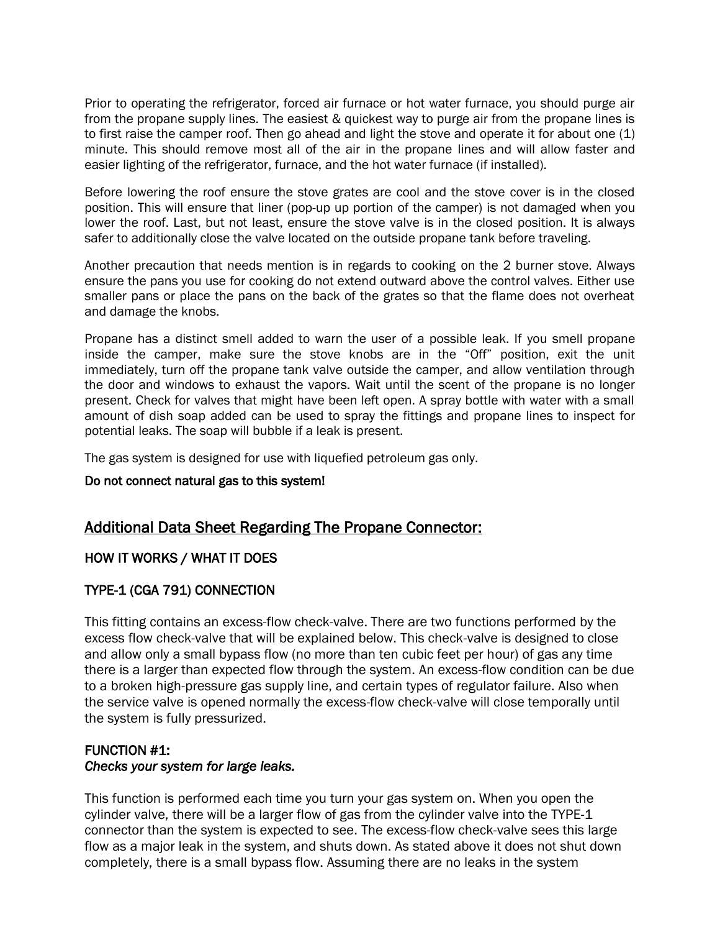Prior to operating the refrigerator, forced air furnace or hot water furnace, you should purge air from the propane supply lines. The easiest & quickest way to purge air from the propane lines is to first raise the camper roof. Then go ahead and light the stove and operate it for about one (1) minute. This should remove most all of the air in the propane lines and will allow faster and easier lighting of the refrigerator, furnace, and the hot water furnace (if installed).

Before lowering the roof ensure the stove grates are cool and the stove cover is in the closed position. This will ensure that liner (pop-up up portion of the camper) is not damaged when you lower the roof. Last, but not least, ensure the stove valve is in the closed position. It is always safer to additionally close the valve located on the outside propane tank before traveling.

Another precaution that needs mention is in regards to cooking on the 2 burner stove. Always ensure the pans you use for cooking do not extend outward above the control valves. Either use smaller pans or place the pans on the back of the grates so that the flame does not overheat and damage the knobs.

Propane has a distinct smell added to warn the user of a possible leak. If you smell propane inside the camper, make sure the stove knobs are in the "Off" position, exit the unit immediately, turn off the propane tank valve outside the camper, and allow ventilation through the door and windows to exhaust the vapors. Wait until the scent of the propane is no longer present. Check for valves that might have been left open. A spray bottle with water with a small amount of dish soap added can be used to spray the fittings and propane lines to inspect for potential leaks. The soap will bubble if a leak is present.

The gas system is designed for use with liquefied petroleum gas only.

#### Do not connect natural gas to this system!

# Additional Data Sheet Regarding The Propane Connector:

## HOW IT WORKS / WHAT IT DOES

# TYPE-1 (CGA 791) CONNECTION

This fitting contains an excess-flow check-valve. There are two functions performed by the excess flow check-valve that will be explained below. This check-valve is designed to close and allow only a small bypass flow (no more than ten cubic feet per hour) of gas any time there is a larger than expected flow through the system. An excess-flow condition can be due to a broken high-pressure gas supply line, and certain types of regulator failure. Also when the service valve is opened normally the excess-flow check-valve will close temporally until the system is fully pressurized.

# FUNCTION #1: *Checks your system for large leaks.*

This function is performed each time you turn your gas system on. When you open the cylinder valve, there will be a larger flow of gas from the cylinder valve into the TYPE-1 connector than the system is expected to see. The excess-flow check-valve sees this large flow as a major leak in the system, and shuts down. As stated above it does not shut down completely, there is a small bypass flow. Assuming there are no leaks in the system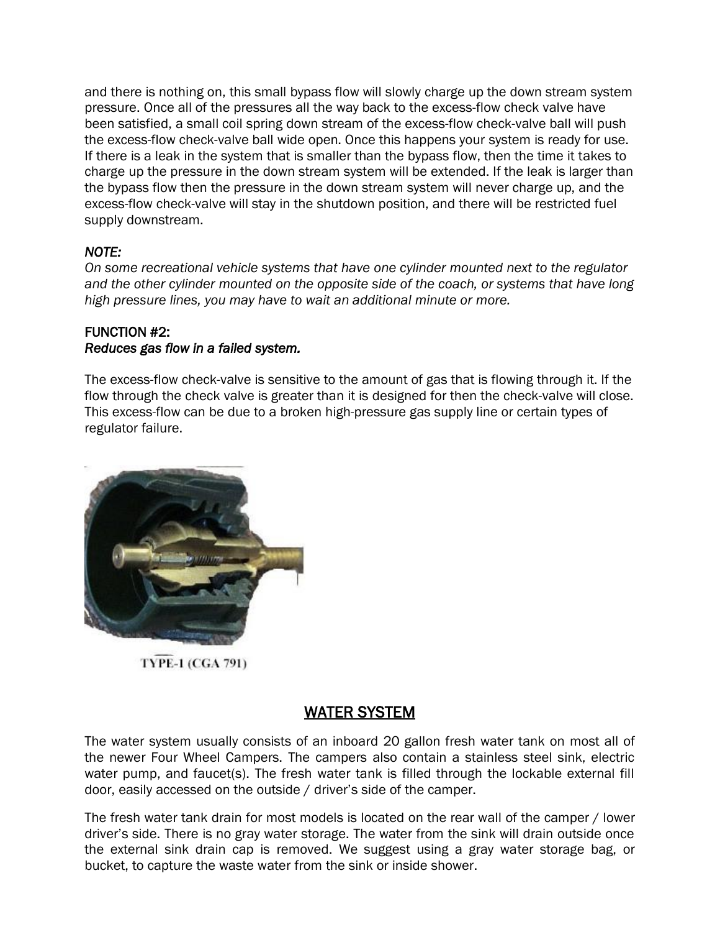and there is nothing on, this small bypass flow will slowly charge up the down stream system pressure. Once all of the pressures all the way back to the excess-flow check valve have been satisfied, a small coil spring down stream of the excess-flow check-valve ball will push the excess-flow check-valve ball wide open. Once this happens your system is ready for use. If there is a leak in the system that is smaller than the bypass flow, then the time it takes to charge up the pressure in the down stream system will be extended. If the leak is larger than the bypass flow then the pressure in the down stream system will never charge up, and the excess-flow check-valve will stay in the shutdown position, and there will be restricted fuel supply downstream.

# *NOTE:*

*On some recreational vehicle systems that have one cylinder mounted next to the regulator and the other cylinder mounted on the opposite side of the coach, or systems that have long high pressure lines, you may have to wait an additional minute or more.*

## FUNCTION #2: *Reduces gas flow in a failed system.*

The excess-flow check-valve is sensitive to the amount of gas that is flowing through it. If the flow through the check valve is greater than it is designed for then the check-valve will close. This excess-flow can be due to a broken high-pressure gas supply line or certain types of regulator failure.



**TYPE-1 (CGA 791)** 

# WATER SYSTEM

The water system usually consists of an inboard 20 gallon fresh water tank on most all of the newer Four Wheel Campers. The campers also contain a stainless steel sink, electric water pump, and faucet(s). The fresh water tank is filled through the lockable external fill door, easily accessed on the outside / driver's side of the camper.

The fresh water tank drain for most models is located on the rear wall of the camper / lower driver's side. There is no gray water storage. The water from the sink will drain outside once the external sink drain cap is removed. We suggest using a gray water storage bag, or bucket, to capture the waste water from the sink or inside shower.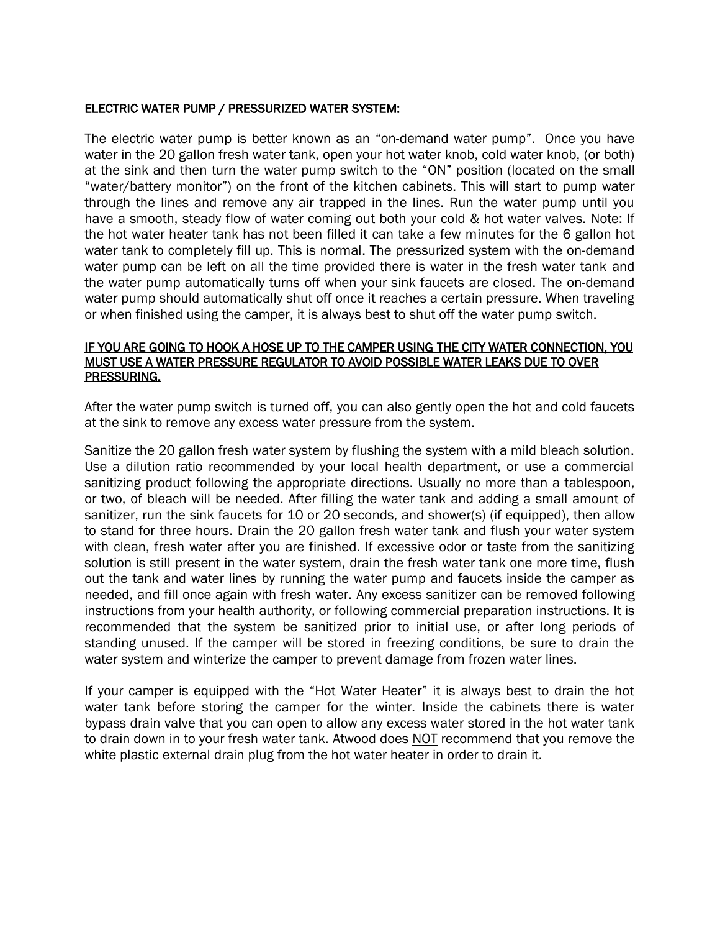#### ELECTRIC WATER PUMP / PRESSURIZED WATER SYSTEM:

The electric water pump is better known as an "on-demand water pump". Once you have water in the 20 gallon fresh water tank, open your hot water knob, cold water knob, (or both) at the sink and then turn the water pump switch to the "ON" position (located on the small "water/battery monitor") on the front of the kitchen cabinets. This will start to pump water through the lines and remove any air trapped in the lines. Run the water pump until you have a smooth, steady flow of water coming out both your cold & hot water valves. Note: If the hot water heater tank has not been filled it can take a few minutes for the 6 gallon hot water tank to completely fill up. This is normal. The pressurized system with the on-demand water pump can be left on all the time provided there is water in the fresh water tank and the water pump automatically turns off when your sink faucets are closed. The on-demand water pump should automatically shut off once it reaches a certain pressure. When traveling or when finished using the camper, it is always best to shut off the water pump switch.

#### IF YOU ARE GOING TO HOOK A HOSE UP TO THE CAMPER USING THE CITY WATER CONNECTION, YOU MUST USE A WATER PRESSURE REGULATOR TO AVOID POSSIBLE WATER LEAKS DUE TO OVER PRESSURING.

After the water pump switch is turned off, you can also gently open the hot and cold faucets at the sink to remove any excess water pressure from the system.

Sanitize the 20 gallon fresh water system by flushing the system with a mild bleach solution. Use a dilution ratio recommended by your local health department, or use a commercial sanitizing product following the appropriate directions. Usually no more than a tablespoon, or two, of bleach will be needed. After filling the water tank and adding a small amount of sanitizer, run the sink faucets for 10 or 20 seconds, and shower(s) (if equipped), then allow to stand for three hours. Drain the 20 gallon fresh water tank and flush your water system with clean, fresh water after you are finished. If excessive odor or taste from the sanitizing solution is still present in the water system, drain the fresh water tank one more time, flush out the tank and water lines by running the water pump and faucets inside the camper as needed, and fill once again with fresh water. Any excess sanitizer can be removed following instructions from your health authority, or following commercial preparation instructions. It is recommended that the system be sanitized prior to initial use, or after long periods of standing unused. If the camper will be stored in freezing conditions, be sure to drain the water system and winterize the camper to prevent damage from frozen water lines.

If your camper is equipped with the "Hot Water Heater" it is always best to drain the hot water tank before storing the camper for the winter. Inside the cabinets there is water bypass drain valve that you can open to allow any excess water stored in the hot water tank to drain down in to your fresh water tank. Atwood does NOT recommend that you remove the white plastic external drain plug from the hot water heater in order to drain it.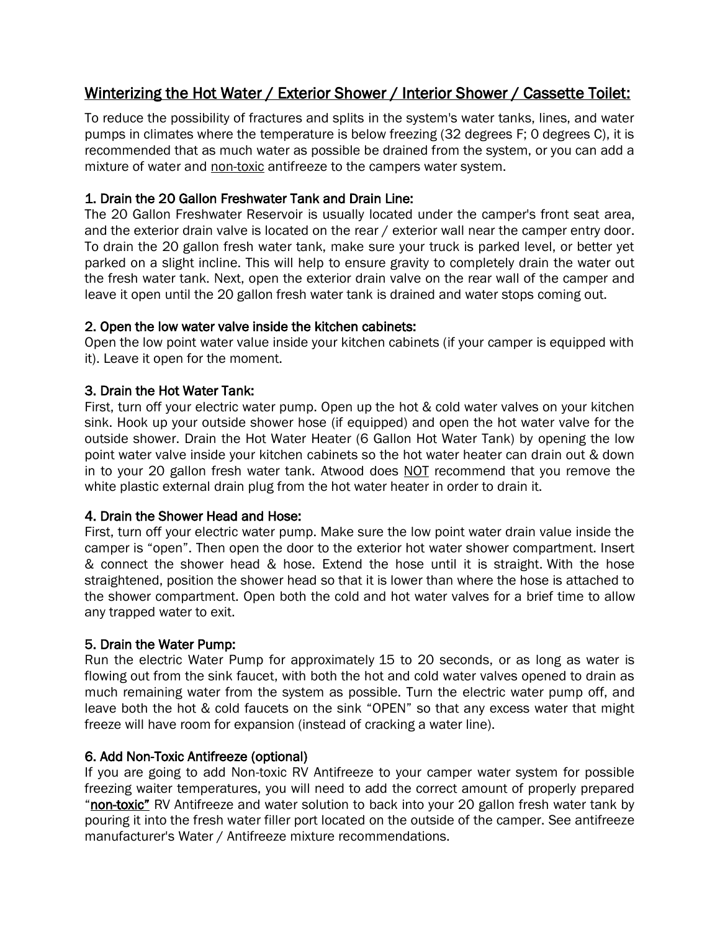# Winterizing the Hot Water / Exterior Shower / Interior Shower / Cassette Toilet:

To reduce the possibility of fractures and splits in the system's water tanks, lines, and water pumps in climates where the temperature is below freezing (32 degrees F; 0 degrees C), it is recommended that as much water as possible be drained from the system, or you can add a mixture of water and non-toxic antifreeze to the campers water system.

# 1. Drain the 20 Gallon Freshwater Tank and Drain Line:

The 20 Gallon Freshwater Reservoir is usually located under the camper's front seat area, and the exterior drain valve is located on the rear / exterior wall near the camper entry door. To drain the 20 gallon fresh water tank, make sure your truck is parked level, or better yet parked on a slight incline. This will help to ensure gravity to completely drain the water out the fresh water tank. Next, open the exterior drain valve on the rear wall of the camper and leave it open until the 20 gallon fresh water tank is drained and water stops coming out.

## 2. Open the low water valve inside the kitchen cabinets:

Open the low point water value inside your kitchen cabinets (if your camper is equipped with it). Leave it open for the moment.

## 3. Drain the Hot Water Tank:

First, turn off your electric water pump. Open up the hot & cold water valves on your kitchen sink. Hook up your outside shower hose (if equipped) and open the hot water valve for the outside shower. Drain the Hot Water Heater (6 Gallon Hot Water Tank) by opening the low point water valve inside your kitchen cabinets so the hot water heater can drain out & down in to your 20 gallon fresh water tank. Atwood does NOT recommend that you remove the white plastic external drain plug from the hot water heater in order to drain it.

## 4. Drain the Shower Head and Hose:

First, turn off your electric water pump. Make sure the low point water drain value inside the camper is "open". Then open the door to the exterior hot water shower compartment. Insert & connect the shower head & hose. Extend the hose until it is straight. With the hose straightened, position the shower head so that it is lower than where the hose is attached to the shower compartment. Open both the cold and hot water valves for a brief time to allow any trapped water to exit.

## 5. Drain the Water Pump:

Run the electric Water Pump for approximately 15 to 20 seconds, or as long as water is flowing out from the sink faucet, with both the hot and cold water valves opened to drain as much remaining water from the system as possible. Turn the electric water pump off, and leave both the hot & cold faucets on the sink "OPEN" so that any excess water that might freeze will have room for expansion (instead of cracking a water line).

## 6. Add Non-Toxic Antifreeze (optional)

If you are going to add Non-toxic RV Antifreeze to your camper water system for possible freezing waiter temperatures, you will need to add the correct amount of properly prepared "non-toxic" RV Antifreeze and water solution to back into your 20 gallon fresh water tank by pouring it into the fresh water filler port located on the outside of the camper. See antifreeze manufacturer's Water / Antifreeze mixture recommendations.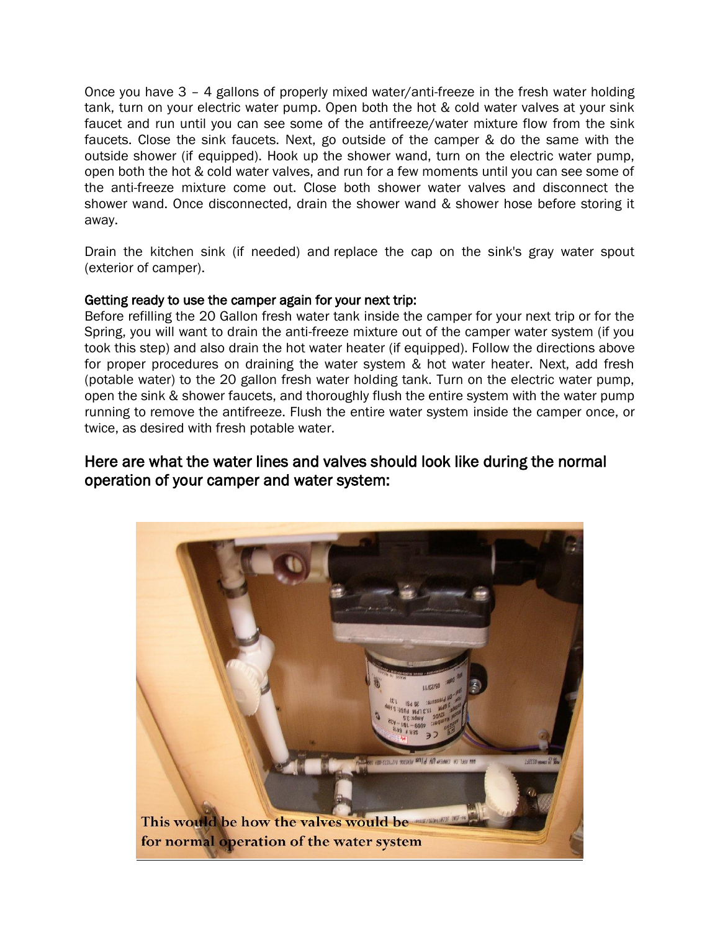Once you have 3 – 4 gallons of properly mixed water/anti-freeze in the fresh water holding tank, turn on your electric water pump. Open both the hot & cold water valves at your sink faucet and run until you can see some of the antifreeze/water mixture flow from the sink faucets. Close the sink faucets. Next, go outside of the camper & do the same with the outside shower (if equipped). Hook up the shower wand, turn on the electric water pump, open both the hot & cold water valves, and run for a few moments until you can see some of the anti-freeze mixture come out. Close both shower water valves and disconnect the shower wand. Once disconnected, drain the shower wand & shower hose before storing it away.

Drain the kitchen sink (if needed) and replace the cap on the sink's gray water spout (exterior of camper).

#### Getting ready to use the camper again for your next trip:

Before refilling the 20 Gallon fresh water tank inside the camper for your next trip or for the Spring, you will want to drain the anti-freeze mixture out of the camper water system (if you took this step) and also drain the hot water heater (if equipped). Follow the directions above for proper procedures on draining the water system & hot water heater. Next, add fresh (potable water) to the 20 gallon fresh water holding tank. Turn on the electric water pump, open the sink & shower faucets, and thoroughly flush the entire system with the water pump running to remove the antifreeze. Flush the entire water system inside the camper once, or twice, as desired with fresh potable water.

# Here are what the water lines and valves should look like during the normal operation of your camper and water system:

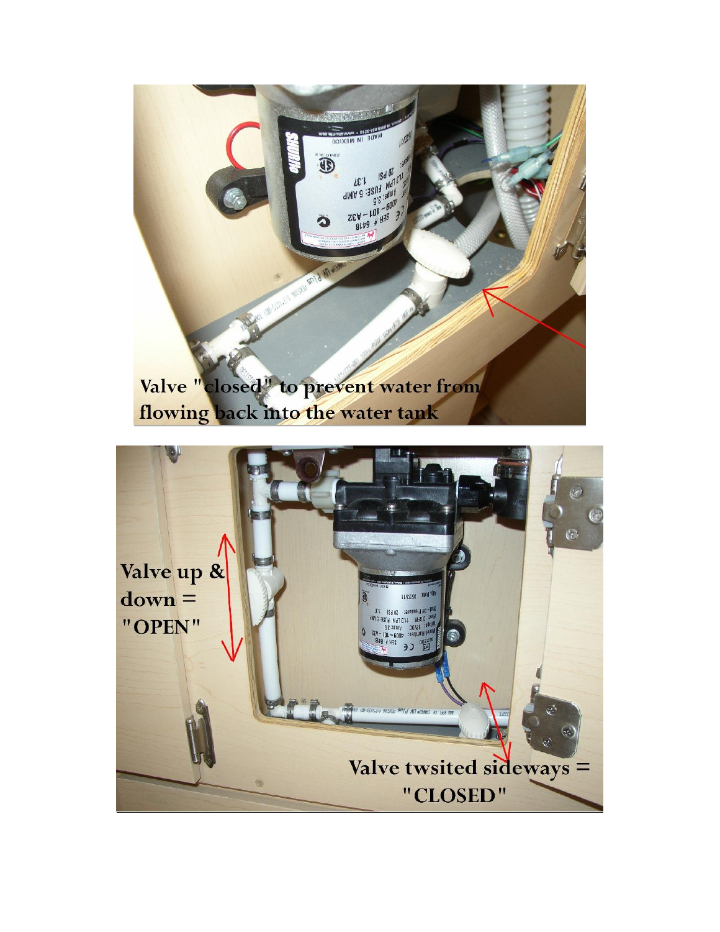

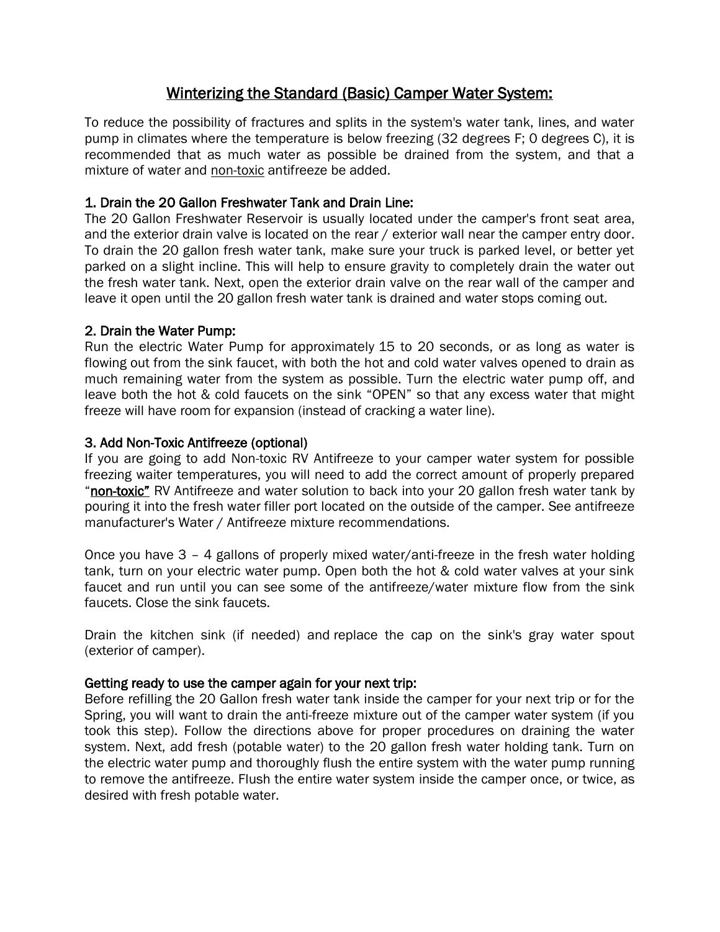# Winterizing the Standard (Basic) Camper Water System:

To reduce the possibility of fractures and splits in the system's water tank, lines, and water pump in climates where the temperature is below freezing (32 degrees F; 0 degrees C), it is recommended that as much water as possible be drained from the system, and that a mixture of water and non-toxic antifreeze be added.

## 1. Drain the 20 Gallon Freshwater Tank and Drain Line:

The 20 Gallon Freshwater Reservoir is usually located under the camper's front seat area, and the exterior drain valve is located on the rear / exterior wall near the camper entry door. To drain the 20 gallon fresh water tank, make sure your truck is parked level, or better yet parked on a slight incline. This will help to ensure gravity to completely drain the water out the fresh water tank. Next, open the exterior drain valve on the rear wall of the camper and leave it open until the 20 gallon fresh water tank is drained and water stops coming out.

## 2. Drain the Water Pump:

Run the electric Water Pump for approximately 15 to 20 seconds, or as long as water is flowing out from the sink faucet, with both the hot and cold water valves opened to drain as much remaining water from the system as possible. Turn the electric water pump off, and leave both the hot & cold faucets on the sink "OPEN" so that any excess water that might freeze will have room for expansion (instead of cracking a water line).

## 3. Add Non-Toxic Antifreeze (optional)

If you are going to add Non-toxic RV Antifreeze to your camper water system for possible freezing waiter temperatures, you will need to add the correct amount of properly prepared "non-toxic" RV Antifreeze and water solution to back into your 20 gallon fresh water tank by pouring it into the fresh water filler port located on the outside of the camper. See antifreeze manufacturer's Water / Antifreeze mixture recommendations.

Once you have 3 – 4 gallons of properly mixed water/anti-freeze in the fresh water holding tank, turn on your electric water pump. Open both the hot & cold water valves at your sink faucet and run until you can see some of the antifreeze/water mixture flow from the sink faucets. Close the sink faucets.

Drain the kitchen sink (if needed) and replace the cap on the sink's gray water spout (exterior of camper).

## Getting ready to use the camper again for your next trip:

Before refilling the 20 Gallon fresh water tank inside the camper for your next trip or for the Spring, you will want to drain the anti-freeze mixture out of the camper water system (if you took this step). Follow the directions above for proper procedures on draining the water system. Next, add fresh (potable water) to the 20 gallon fresh water holding tank. Turn on the electric water pump and thoroughly flush the entire system with the water pump running to remove the antifreeze. Flush the entire water system inside the camper once, or twice, as desired with fresh potable water.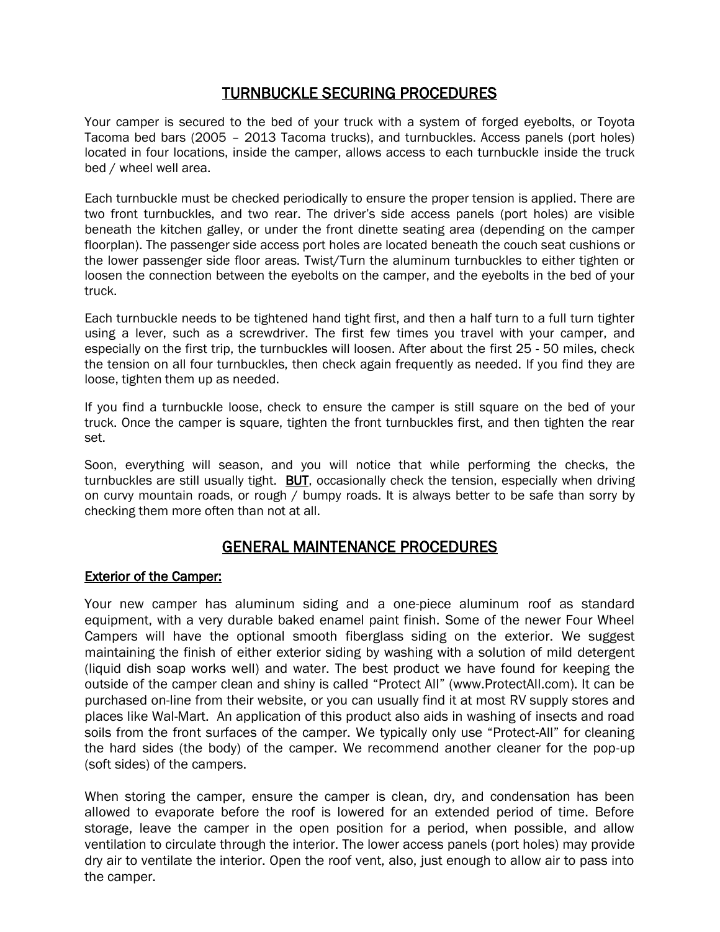# TURNBUCKLE SECURING PROCEDURES

Your camper is secured to the bed of your truck with a system of forged eyebolts, or Toyota Tacoma bed bars (2005 – 2013 Tacoma trucks), and turnbuckles. Access panels (port holes) located in four locations, inside the camper, allows access to each turnbuckle inside the truck bed / wheel well area.

Each turnbuckle must be checked periodically to ensure the proper tension is applied. There are two front turnbuckles, and two rear. The driver's side access panels (port holes) are visible beneath the kitchen galley, or under the front dinette seating area (depending on the camper floorplan). The passenger side access port holes are located beneath the couch seat cushions or the lower passenger side floor areas. Twist/Turn the aluminum turnbuckles to either tighten or loosen the connection between the eyebolts on the camper, and the eyebolts in the bed of your truck.

Each turnbuckle needs to be tightened hand tight first, and then a half turn to a full turn tighter using a lever, such as a screwdriver. The first few times you travel with your camper, and especially on the first trip, the turnbuckles will loosen. After about the first 25 - 50 miles, check the tension on all four turnbuckles, then check again frequently as needed. If you find they are loose, tighten them up as needed.

If you find a turnbuckle loose, check to ensure the camper is still square on the bed of your truck. Once the camper is square, tighten the front turnbuckles first, and then tighten the rear set.

Soon, everything will season, and you will notice that while performing the checks, the turnbuckles are still usually tight. **BUT**, occasionally check the tension, especially when driving on curvy mountain roads, or rough / bumpy roads. It is always better to be safe than sorry by checking them more often than not at all.

# GENERAL MAINTENANCE PROCEDURES

#### Exterior of the Camper:

Your new camper has aluminum siding and a one-piece aluminum roof as standard equipment, with a very durable baked enamel paint finish. Some of the newer Four Wheel Campers will have the optional smooth fiberglass siding on the exterior. We suggest maintaining the finish of either exterior siding by washing with a solution of mild detergent (liquid dish soap works well) and water. The best product we have found for keeping the outside of the camper clean and shiny is called "Protect All" (www.ProtectAll.com). It can be purchased on-line from their website, or you can usually find it at most RV supply stores and places like Wal-Mart. An application of this product also aids in washing of insects and road soils from the front surfaces of the camper. We typically only use "Protect-All" for cleaning the hard sides (the body) of the camper. We recommend another cleaner for the pop-up (soft sides) of the campers.

When storing the camper, ensure the camper is clean, dry, and condensation has been allowed to evaporate before the roof is lowered for an extended period of time. Before storage, leave the camper in the open position for a period, when possible, and allow ventilation to circulate through the interior. The lower access panels (port holes) may provide dry air to ventilate the interior. Open the roof vent, also, just enough to allow air to pass into the camper.